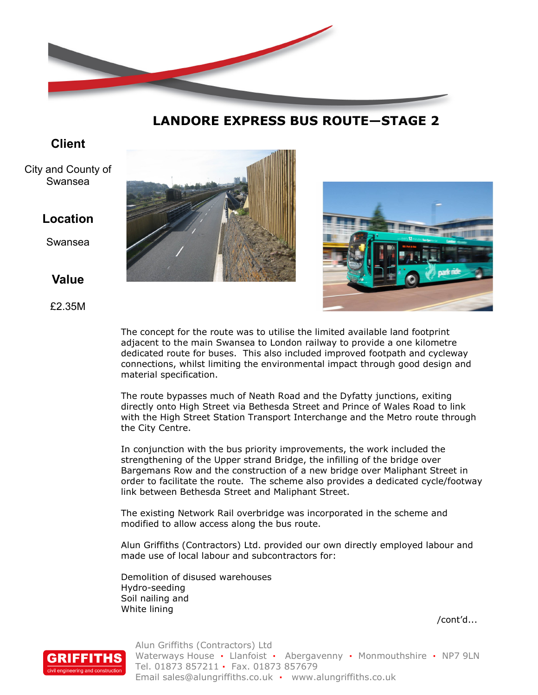

**LANDORE EXPRESS BUS ROUTE—STAGE 2**

# **Client**

City and County of Swansea

### **Location**

Swansea

## **Value**

£2.35M





The concept for the route was to utilise the limited available land footprint adjacent to the main Swansea to London railway to provide a one kilometre dedicated route for buses. This also included improved footpath and cycleway connections, whilst limiting the environmental impact through good design and material specification.

The route bypasses much of Neath Road and the Dyfatty junctions, exiting directly onto High Street via Bethesda Street and Prince of Wales Road to link with the High Street Station Transport Interchange and the Metro route through the City Centre.

In conjunction with the bus priority improvements, the work included the strengthening of the Upper strand Bridge, the infilling of the bridge over Bargemans Row and the construction of a new bridge over Maliphant Street in order to facilitate the route. The scheme also provides a dedicated cycle/footway link between Bethesda Street and Maliphant Street.

The existing Network Rail overbridge was incorporated in the scheme and modified to allow access along the bus route.

Alun Griffiths (Contractors) Ltd. provided our own directly employed labour and made use of local labour and subcontractors for:

Demolition of disused warehouses Hydro-seeding Soil nailing and White lining

/cont'd...



Alun Griffiths (Contractors) Ltd Waterways House **·** Llanfoist **·** Abergavenny **·** Monmouthshire **·** NP7 9LN Tel. 01873 857211 **·** Fax. 01873 857679 Email sales@alungriffiths.co.uk **·** www.alungriffiths.co.uk